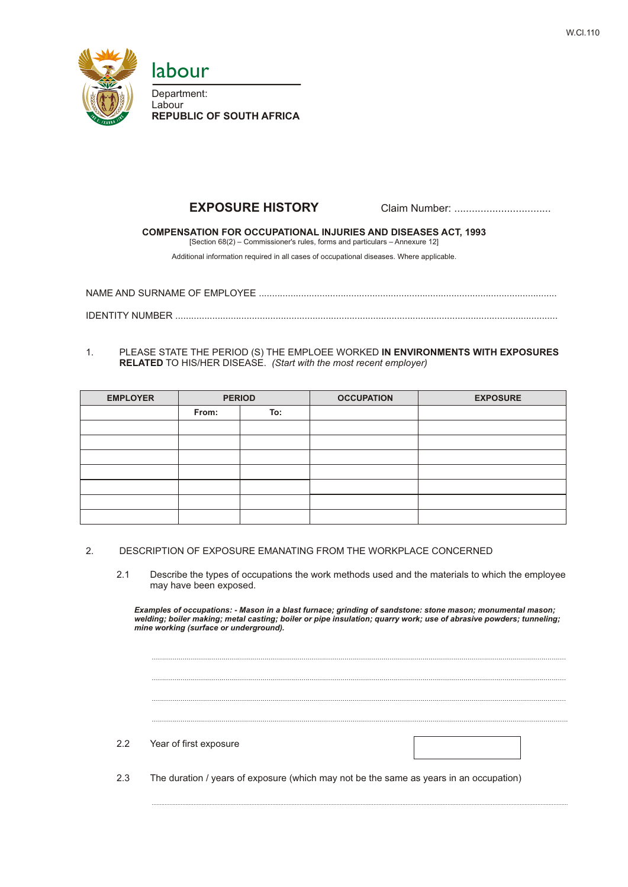



labour

Department: Labour **REPUBLIC OF SOUTH AFRICA**

# **EXPOSURE HISTORY** Claim Number: .................................

# **COMPENSATION FOR OCCUPATIONAL INJURIES AND DISEASES ACT, 1993**

[Section 68(2) – Commissioner's rules, forms and particulars – Annexure 12]

Additional information required in all cases of occupational diseases. Where applicable.

NAME AND SURNAME OF EMPLOYEE ................................................................................................................. IDENTITY NUMBER .................................................................................................................................................

## 1. PLEASE STATE THE PERIOD (S) THE EMPLOEE WORKED **IN ENVIRONMENTS WITH EXPOSURES RELATED** TO HIS/HER DISEASE. *(Start with the most recent employer)*

| <b>EMPLOYER</b> | <b>PERIOD</b> |     | <b>OCCUPATION</b> | <b>EXPOSURE</b> |
|-----------------|---------------|-----|-------------------|-----------------|
|                 | From:         | To: |                   |                 |
|                 |               |     |                   |                 |
|                 |               |     |                   |                 |
|                 |               |     |                   |                 |
|                 |               |     |                   |                 |
|                 |               |     |                   |                 |
|                 |               |     |                   |                 |
|                 |               |     |                   |                 |

### 2. DESCRIPTION OF EXPOSURE EMANATING FROM THE WORKPLACE CONCERNED

2.1 Describe the types of occupations the work methods used and the materials to which the employee may have been exposed.

*Examples of occupations: - Mason in a blast furnace; grinding of sandstone: stone mason; monumental mason; welding; boiler making; metal casting; boiler or pipe insulation; quarry work; use of abrasive powders; tunneling; mine working (surface or underground).*

.......................................................................................................................................................................................................... .......................................................................................................................................................................................................... .......................................................................................................................................................................................................... ...........................................................................................................................................................................................................

...................................................................................................................................................................................................................................................................

#### 2.2 Year of first exposure

2.3 The duration / years of exposure (which may not be the same as years in an occupation)